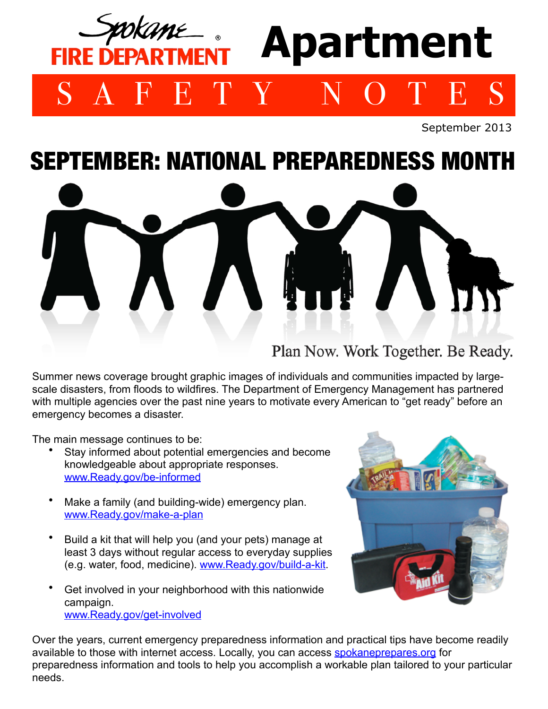## IKANU **Apartment FIRE DEPARTMEN** SAFETY NOTES

September 2013

## SEPTEMBER: NATIONAL PREPAREDNESS MONTH



Summer news coverage brought graphic images of individuals and communities impacted by largescale disasters, from floods to wildfires. The Department of Emergency Management has partnered with multiple agencies over the past nine years to motivate every American to "get ready" before an emergency becomes a disaster.

The main message continues to be:

- Stay informed about potential emergencies and become knowledgeable about appropriate responses. [www.Ready.gov/be-informed](http://www.Ready.gov/be-informed)
- Make a family (and building-wide) emergency plan. [www.Ready.gov/make-a-plan](http://www.Ready.gov/make-a-plan)
- Build a kit that will help you (and your pets) manage at least 3 days without regular access to everyday supplies (e.g. water, food, medicine). [www.Ready.gov/build-a-kit.](http://www.Ready.gov/build-a-kit)
- Get involved in your neighborhood with this nationwide campaign. [www.Ready.gov/get-involved](http://www.Ready.gov/get-involved)



Over the years, current emergency preparedness information and practical tips have become readily available to those with internet access. Locally, you can access [spokaneprepares.org](http://www.spokaneprepares.org) for preparedness information and tools to help you accomplish a workable plan tailored to your particular needs.